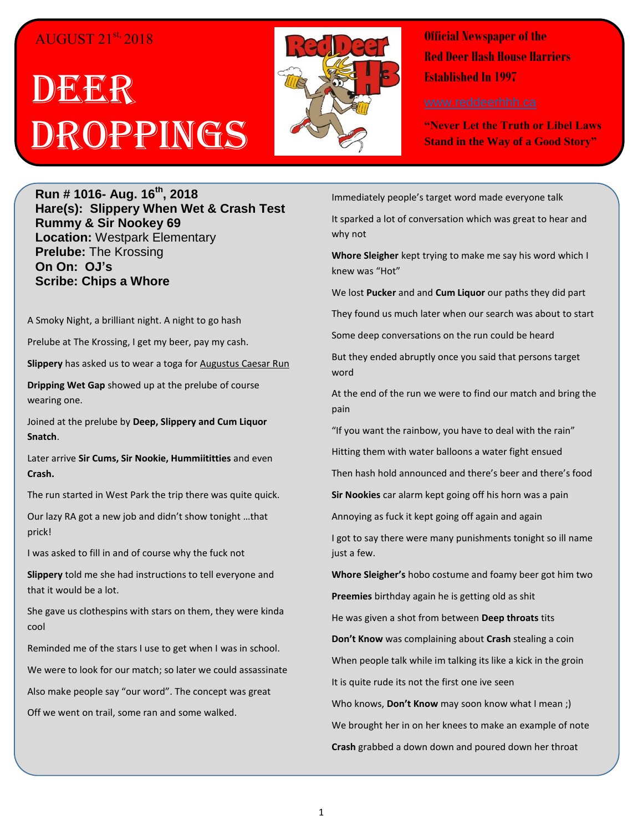#### AUGUST 21st, 2018

# DEGR<sup>I</sup>R Droppings



**Official Newspaper of the Red Deer Hash House Harriers Established In 1997** 

**"Never Let the Truth or Libel Laws Stand in the Way of a Good Story"**

**Run # 1016- Aug. 16th, 2018 Hare(s): Slippery When Wet & Crash Test Rummy & Sir Nookey 69 Location:** Westpark Elementary **Prelube:** The Krossing **On On: OJ's Scribe: Chips a Whore**

A Smoky Night, a brilliant night. A night to go hash

Prelube at The Krossing, I get my beer, pay my cash.

**Slippery** has asked us to wear a toga for Augustus Caesar Run

**Dripping Wet Gap** showed up at the prelube of course wearing one.

Joined at the prelube by **Deep, Slippery and Cum Liquor Snatch**.

Later arrive **Sir Cums, Sir Nookie, Hummiititties** and even **Crash.**

The run started in West Park the trip there was quite quick.

Our lazy RA got a new job and didn't show tonight …that prick!

I was asked to fill in and of course why the fuck not

**Slippery** told me she had instructions to tell everyone and that it would be a lot.

She gave us clothespins with stars on them, they were kinda cool

Reminded me of the stars I use to get when I was in school.

We were to look for our match; so later we could assassinate

Also make people say "our word". The concept was great

Off we went on trail, some ran and some walked.

Immediately people's target word made everyone talk

It sparked a lot of conversation which was great to hear and why not

**Whore Sleigher** kept trying to make me say his word which I knew was "Hot"

We lost **Pucker** and and **Cum Liquor** our paths they did part

They found us much later when our search was about to start

Some deep conversations on the run could be heard

But they ended abruptly once you said that persons target word

At the end of the run we were to find our match and bring the pain

"If you want the rainbow, you have to deal with the rain"

Hitting them with water balloons a water fight ensued

Then hash hold announced and there's beer and there's food

**Sir Nookies** car alarm kept going off his horn was a pain

Annoying as fuck it kept going off again and again

I got to say there were many punishments tonight so ill name just a few.

**Whore Sleigher's** hobo costume and foamy beer got him two

**Preemies** birthday again he is getting old as shit

He was given a shot from between **Deep throats** tits

**Don't Know** was complaining about **Crash** stealing a coin

When people talk while im talking its like a kick in the groin

It is quite rude its not the first one ive seen

Who knows, **Don't Know** may soon know what I mean ;) We brought her in on her knees to make an example of note **Crash** grabbed a down down and poured down her throat